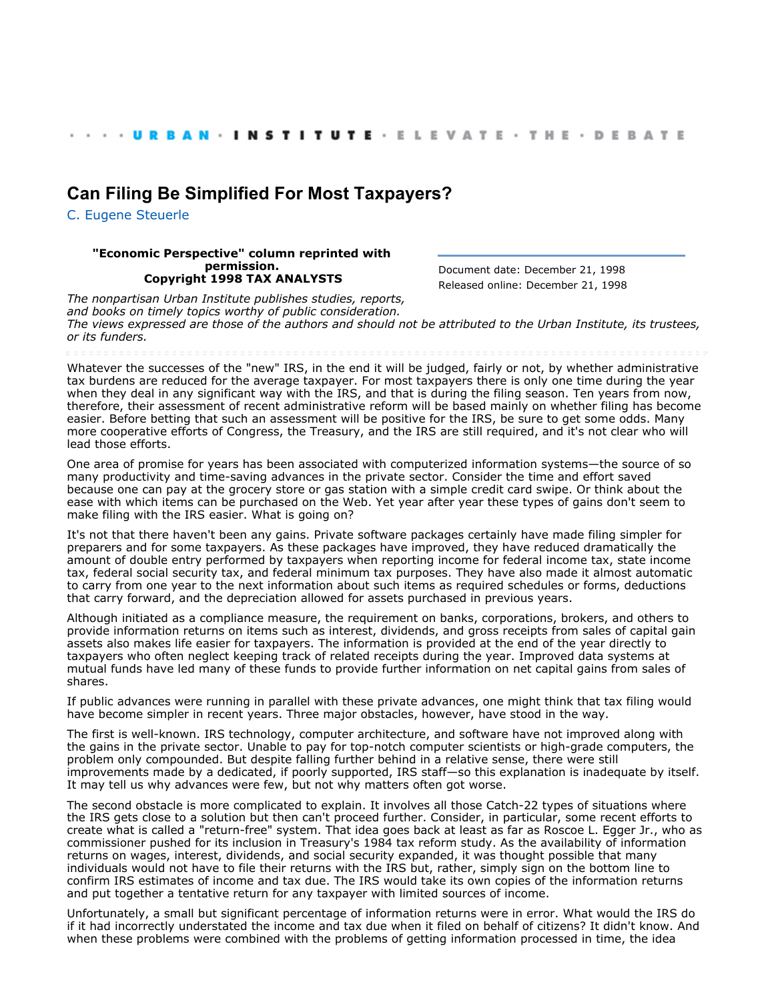## **[Can Filing Be Simplified For Most Taxpayers?](http://webarchive.urban.org/index.cfm)**

[C. Eugene Steuerle](http://www.urban.org/CEugeneSteuerle)

## **"Economic Perspective" column reprinted with permission. Copyright 1998 TAX ANALYSTS**

Document date: December 21, 1998 Released online: December 21, 1998

*The nonpartisan Urban Institute publishes studies, reports, and books on timely topics worthy of public consideration. The views expressed are those of the authors and should not be attributed to the Urban Institute, its trustees, or its funders.*

Whatever the successes of the "new" IRS, in the end it will be judged, fairly or not, by whether administrative tax burdens are reduced for the average taxpayer. For most taxpayers there is only one time during the year when they deal in any significant way with the IRS, and that is during the filing season. Ten years from now, therefore, their assessment of recent administrative reform will be based mainly on whether filing has become easier. Before betting that such an assessment will be positive for the IRS, be sure to get some odds. Many more cooperative efforts of Congress, the Treasury, and the IRS are still required, and it's not clear who will lead those efforts.

One area of promise for years has been associated with computerized information systems—the source of so many productivity and time-saving advances in the private sector. Consider the time and effort saved because one can pay at the grocery store or gas station with a simple credit card swipe. Or think about the ease with which items can be purchased on the Web. Yet year after year these types of gains don't seem to make filing with the IRS easier. What is going on?

It's not that there haven't been any gains. Private software packages certainly have made filing simpler for preparers and for some taxpayers. As these packages have improved, they have reduced dramatically the amount of double entry performed by taxpayers when reporting income for federal income tax, state income tax, federal social security tax, and federal minimum tax purposes. They have also made it almost automatic to carry from one year to the next information about such items as required schedules or forms, deductions that carry forward, and the depreciation allowed for assets purchased in previous years.

Although initiated as a compliance measure, the requirement on banks, corporations, brokers, and others to provide information returns on items such as interest, dividends, and gross receipts from sales of capital gain assets also makes life easier for taxpayers. The information is provided at the end of the year directly to taxpayers who often neglect keeping track of related receipts during the year. Improved data systems at mutual funds have led many of these funds to provide further information on net capital gains from sales of shares.

If public advances were running in parallel with these private advances, one might think that tax filing would have become simpler in recent years. Three major obstacles, however, have stood in the way.

The first is well-known. IRS technology, computer architecture, and software have not improved along with the gains in the private sector. Unable to pay for top-notch computer scientists or high-grade computers, the problem only compounded. But despite falling further behind in a relative sense, there were still improvements made by a dedicated, if poorly supported, IRS staff—so this explanation is inadequate by itself. It may tell us why advances were few, but not why matters often got worse.

The second obstacle is more complicated to explain. It involves all those Catch-22 types of situations where the IRS gets close to a solution but then can't proceed further. Consider, in particular, some recent efforts to create what is called a "return-free" system. That idea goes back at least as far as Roscoe L. Egger Jr., who as commissioner pushed for its inclusion in Treasury's 1984 tax reform study. As the availability of information returns on wages, interest, dividends, and social security expanded, it was thought possible that many individuals would not have to file their returns with the IRS but, rather, simply sign on the bottom line to confirm IRS estimates of income and tax due. The IRS would take its own copies of the information returns and put together a tentative return for any taxpayer with limited sources of income.

Unfortunately, a small but significant percentage of information returns were in error. What would the IRS do if it had incorrectly understated the income and tax due when it filed on behalf of citizens? It didn't know. And when these problems were combined with the problems of getting information processed in time, the idea